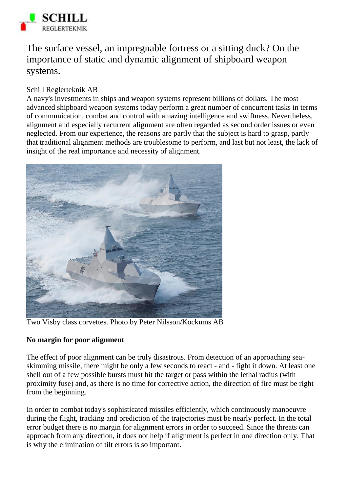

The surface vessel, an impregnable fortress or a sitting duck? On the importance of static and dynamic alignment of shipboard weapon systems.

# Schill Reglerteknik AB

A navy's investments in ships and weapon systems represent billions of dollars. The most advanced shipboard weapon systems today perform a great number of concurrent tasks in terms of communication, combat and control with amazing intelligence and swiftness. Nevertheless, alignment and especially recurrent alignment are often regarded as second order issues or even neglected. From our experience, the reasons are partly that the subject is hard to grasp, partly that traditional alignment methods are troublesome to perform, and last but not least, the lack of insight of the real importance and necessity of alignment.



Two Visby class corvettes. Photo by Peter Nilsson/Kockums AB

## **No margin for poor alignment**

The effect of poor alignment can be truly disastrous. From detection of an approaching seaskimming missile, there might be only a few seconds to react - and - fight it down. At least one shell out of a few possible bursts must hit the target or pass within the lethal radius (with proximity fuse) and, as there is no time for corrective action, the direction of fire must be right from the beginning.

In order to combat today's sophisticated missiles efficiently, which continuously manoeuvre during the flight, tracking and prediction of the trajectories must be nearly perfect. In the total error budget there is no margin for alignment errors in order to succeed. Since the threats can approach from any direction, it does not help if alignment is perfect in one direction only. That is why the elimination of tilt errors is so important.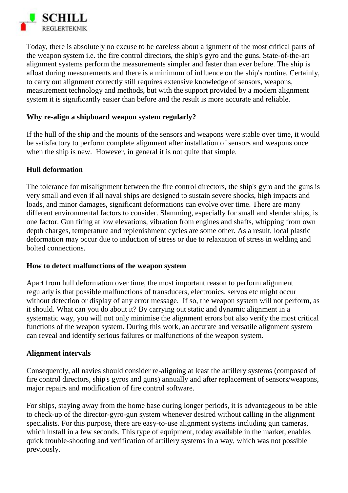

Today, there is absolutely no excuse to be careless about alignment of the most critical parts of the weapon system i.e. the fire control directors, the ship's gyro and the guns. State-of-the-art alignment systems perform the measurements simpler and faster than ever before. The ship is afloat during measurements and there is a minimum of influence on the ship's routine. Certainly, to carry out alignment correctly still requires extensive knowledge of sensors, weapons, measurement technology and methods, but with the support provided by a modern alignment system it is significantly easier than before and the result is more accurate and reliable.

### **Why re-align a shipboard weapon system regularly?**

If the hull of the ship and the mounts of the sensors and weapons were stable over time, it would be satisfactory to perform complete alignment after installation of sensors and weapons once when the ship is new. However, in general it is not quite that simple.

### **Hull deformation**

The tolerance for misalignment between the fire control directors, the ship's gyro and the guns is very small and even if all naval ships are designed to sustain severe shocks, high impacts and loads, and minor damages, significant deformations can evolve over time. There are many different environmental factors to consider. Slamming, especially for small and slender ships, is one factor. Gun firing at low elevations, vibration from engines and shafts, whipping from own depth charges, temperature and replenishment cycles are some other. As a result, local plastic deformation may occur due to induction of stress or due to relaxation of stress in welding and bolted connections.

#### **How to detect malfunctions of the weapon system**

Apart from hull deformation over time, the most important reason to perform alignment regularly is that possible malfunctions of transducers, electronics, servos etc might occur without detection or display of any error message. If so, the weapon system will not perform, as it should. What can you do about it? By carrying out static and dynamic alignment in a systematic way, you will not only minimise the alignment errors but also verify the most critical functions of the weapon system. During this work, an accurate and versatile alignment system can reveal and identify serious failures or malfunctions of the weapon system.

#### **Alignment intervals**

Consequently, all navies should consider re-aligning at least the artillery systems (composed of fire control directors, ship's gyros and guns) annually and after replacement of sensors/weapons, major repairs and modification of fire control software.

For ships, staying away from the home base during longer periods, it is advantageous to be able to check-up of the director-gyro-gun system whenever desired without calling in the alignment specialists. For this purpose, there are easy-to-use alignment systems including gun cameras, which install in a few seconds. This type of equipment, today available in the market, enables quick trouble-shooting and verification of artillery systems in a way, which was not possible previously.